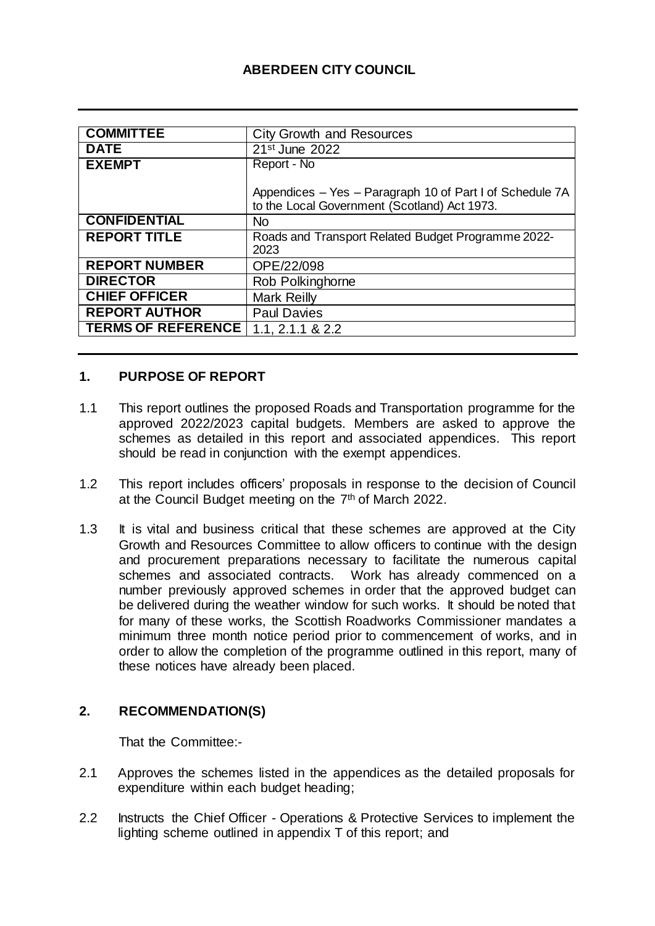# **ABERDEEN CITY COUNCIL**

| <b>COMMITTEE</b>          | <b>City Growth and Resources</b>                                                                         |
|---------------------------|----------------------------------------------------------------------------------------------------------|
| <b>DATE</b>               | 21 <sup>st</sup> June 2022                                                                               |
| <b>EXEMPT</b>             | Report - No                                                                                              |
|                           | Appendices - Yes - Paragraph 10 of Part I of Schedule 7A<br>to the Local Government (Scotland) Act 1973. |
| <b>CONFIDENTIAL</b>       | N <sub>o</sub>                                                                                           |
| <b>REPORT TITLE</b>       | Roads and Transport Related Budget Programme 2022-<br>2023                                               |
| <b>REPORT NUMBER</b>      | OPE/22/098                                                                                               |
| <b>DIRECTOR</b>           | Rob Polkinghorne                                                                                         |
| <b>CHIEF OFFICER</b>      | <b>Mark Reilly</b>                                                                                       |
| <b>REPORT AUTHOR</b>      | <b>Paul Davies</b>                                                                                       |
| <b>TERMS OF REFERENCE</b> | $1.1, 2.1.1 \& 2.2$                                                                                      |

### **1. PURPOSE OF REPORT**

- 1.1 This report outlines the proposed Roads and Transportation programme for the approved 2022/2023 capital budgets. Members are asked to approve the schemes as detailed in this report and associated appendices. This report should be read in conjunction with the exempt appendices.
- 1.2 This report includes officers' proposals in response to the decision of Council at the Council Budget meeting on the 7<sup>th</sup> of March 2022.
- 1.3 It is vital and business critical that these schemes are approved at the City Growth and Resources Committee to allow officers to continue with the design and procurement preparations necessary to facilitate the numerous capital schemes and associated contracts. Work has already commenced on a number previously approved schemes in order that the approved budget can be delivered during the weather window for such works. It should be noted that for many of these works, the Scottish Roadworks Commissioner mandates a minimum three month notice period prior to commencement of works, and in order to allow the completion of the programme outlined in this report, many of these notices have already been placed.

#### **2. RECOMMENDATION(S)**

That the Committee:-

- 2.1 Approves the schemes listed in the appendices as the detailed proposals for expenditure within each budget heading;
- 2.2 Instructs the Chief Officer Operations & Protective Services to implement the lighting scheme outlined in appendix T of this report; and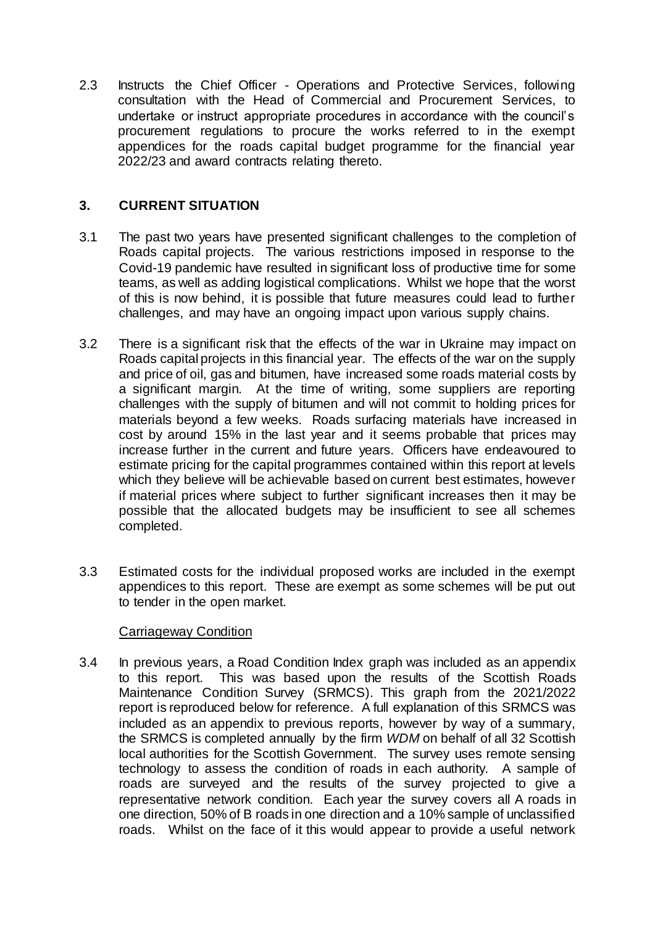2.3 Instructs the Chief Officer - Operations and Protective Services, following consultation with the Head of Commercial and Procurement Services, to undertake or instruct appropriate procedures in accordance with the council's procurement regulations to procure the works referred to in the exempt appendices for the roads capital budget programme for the financial year 2022/23 and award contracts relating thereto.

## **3. CURRENT SITUATION**

- 3.1 The past two years have presented significant challenges to the completion of Roads capital projects. The various restrictions imposed in response to the Covid-19 pandemic have resulted in significant loss of productive time for some teams, as well as adding logistical complications. Whilst we hope that the worst of this is now behind, it is possible that future measures could lead to further challenges, and may have an ongoing impact upon various supply chains.
- 3.2 There is a significant risk that the effects of the war in Ukraine may impact on Roads capital projects in this financial year. The effects of the war on the supply and price of oil, gas and bitumen, have increased some roads material costs by a significant margin. At the time of writing, some suppliers are reporting challenges with the supply of bitumen and will not commit to holding prices for materials beyond a few weeks. Roads surfacing materials have increased in cost by around 15% in the last year and it seems probable that prices may increase further in the current and future years. Officers have endeavoured to estimate pricing for the capital programmes contained within this report at levels which they believe will be achievable based on current best estimates, however if material prices where subject to further significant increases then it may be possible that the allocated budgets may be insufficient to see all schemes completed.
- 3.3 Estimated costs for the individual proposed works are included in the exempt appendices to this report. These are exempt as some schemes will be put out to tender in the open market.

## Carriageway Condition

3.4 In previous years, a Road Condition Index graph was included as an appendix to this report. This was based upon the results of the Scottish Roads Maintenance Condition Survey (SRMCS). This graph from the 2021/2022 report is reproduced below for reference. A full explanation of this SRMCS was included as an appendix to previous reports, however by way of a summary, the SRMCS is completed annually by the firm *WDM* on behalf of all 32 Scottish local authorities for the Scottish Government. The survey uses remote sensing technology to assess the condition of roads in each authority. A sample of roads are surveyed and the results of the survey projected to give a representative network condition. Each year the survey covers all A roads in one direction, 50% of B roads in one direction and a 10% sample of unclassified roads. Whilst on the face of it this would appear to provide a useful network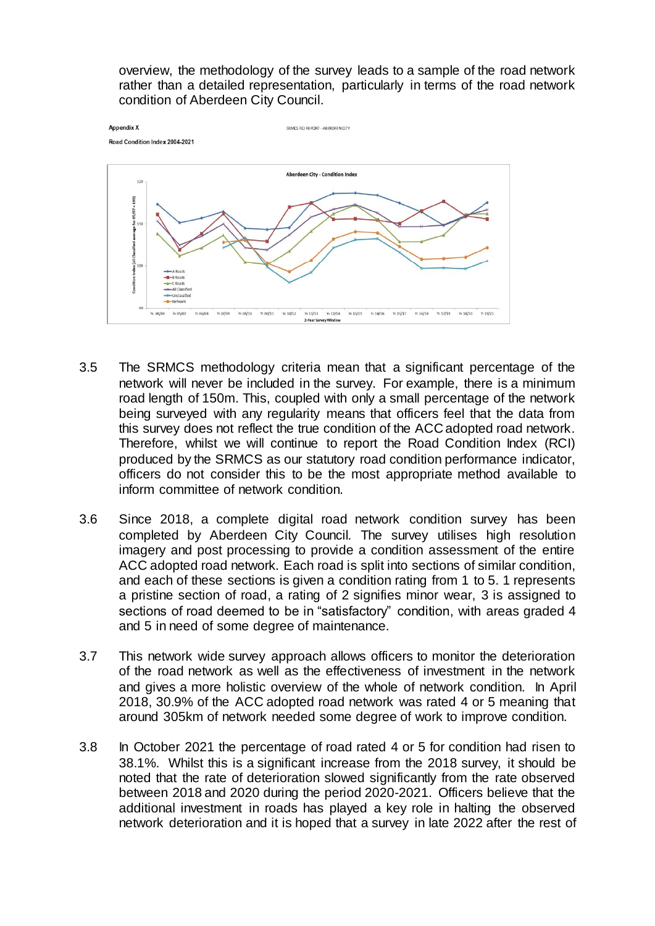overview, the methodology of the survey leads to a sample of the road network rather than a detailed representation, particularly in terms of the road network condition of Aberdeen City Council.



- 3.5 The SRMCS methodology criteria mean that a significant percentage of the network will never be included in the survey. For example, there is a minimum road length of 150m. This, coupled with only a small percentage of the network being surveyed with any regularity means that officers feel that the data from this survey does not reflect the true condition of the ACC adopted road network. Therefore, whilst we will continue to report the Road Condition Index (RCI) produced by the SRMCS as our statutory road condition performance indicator, officers do not consider this to be the most appropriate method available to inform committee of network condition.
- 3.6 Since 2018, a complete digital road network condition survey has been completed by Aberdeen City Council*.* The survey utilises high resolution imagery and post processing to provide a condition assessment of the entire ACC adopted road network. Each road is split into sections of similar condition, and each of these sections is given a condition rating from 1 to 5. 1 represents a pristine section of road, a rating of 2 signifies minor wear, 3 is assigned to sections of road deemed to be in "satisfactory" condition, with areas graded 4 and 5 in need of some degree of maintenance.
- 3.7 This network wide survey approach allows officers to monitor the deterioration of the road network as well as the effectiveness of investment in the network and gives a more holistic overview of the whole of network condition. In April 2018, 30.9% of the ACC adopted road network was rated 4 or 5 meaning that around 305km of network needed some degree of work to improve condition.
- 3.8 In October 2021 the percentage of road rated 4 or 5 for condition had risen to 38.1%. Whilst this is a significant increase from the 2018 survey, it should be noted that the rate of deterioration slowed significantly from the rate observed between 2018 and 2020 during the period 2020-2021. Officers believe that the additional investment in roads has played a key role in halting the observed network deterioration and it is hoped that a survey in late 2022 after the rest of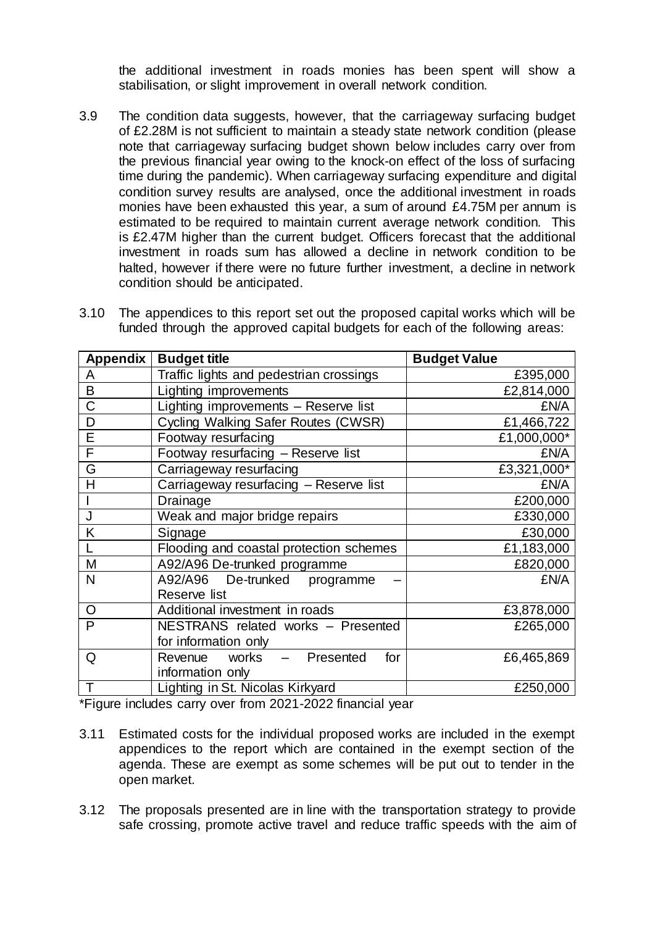the additional investment in roads monies has been spent will show a stabilisation, or slight improvement in overall network condition.

3.9 The condition data suggests, however, that the carriageway surfacing budget of £2.28M is not sufficient to maintain a steady state network condition (please note that carriageway surfacing budget shown below includes carry over from the previous financial year owing to the knock-on effect of the loss of surfacing time during the pandemic). When carriageway surfacing expenditure and digital condition survey results are analysed, once the additional investment in roads monies have been exhausted this year, a sum of around £4.75M per annum is estimated to be required to maintain current average network condition. This is £2.47M higher than the current budget. Officers forecast that the additional investment in roads sum has allowed a decline in network condition to be halted, however if there were no future further investment, a decline in network condition should be anticipated.

| <b>Appendix</b> | <b>Budget title</b>                     | <b>Budget Value</b> |
|-----------------|-----------------------------------------|---------------------|
|                 |                                         |                     |
| A               | Traffic lights and pedestrian crossings | £395,000            |
| B               | Lighting improvements                   | £2,814,000          |
| C               | Lighting improvements - Reserve list    | £N/A                |
| D               | Cycling Walking Safer Routes (CWSR)     | £1,466,722          |
| E               | Footway resurfacing                     | £1,000,000*         |
| F               | Footway resurfacing - Reserve list      | £N/A                |
| G               | Carriageway resurfacing                 | £3,321,000*         |
| Н               | Carriageway resurfacing - Reserve list  | £N/A                |
|                 | Drainage                                | £200,000            |
| J               | Weak and major bridge repairs           | £330,000            |
| K               | Signage                                 | £30,000             |
|                 | Flooding and coastal protection schemes | £1,183,000          |
| M               | A92/A96 De-trunked programme            | £820,000            |
| N               | A92/A96 De-trunked<br>programme         | £N/A                |
|                 | Reserve list                            |                     |
| O               | Additional investment in roads          | £3,878,000          |
| P               | NESTRANS related works - Presented      | £265,000            |
|                 | for information only                    |                     |
| Q               | Revenue works - Presented<br>for        | £6,465,869          |
|                 | information only                        |                     |
| T               | Lighting in St. Nicolas Kirkyard        | £250,000            |

3.10 The appendices to this report set out the proposed capital works which will be funded through the approved capital budgets for each of the following areas:

\*Figure includes carry over from 2021-2022 financial year

- 3.11 Estimated costs for the individual proposed works are included in the exempt appendices to the report which are contained in the exempt section of the agenda. These are exempt as some schemes will be put out to tender in the open market.
- 3.12 The proposals presented are in line with the transportation strategy to provide safe crossing, promote active travel and reduce traffic speeds with the aim of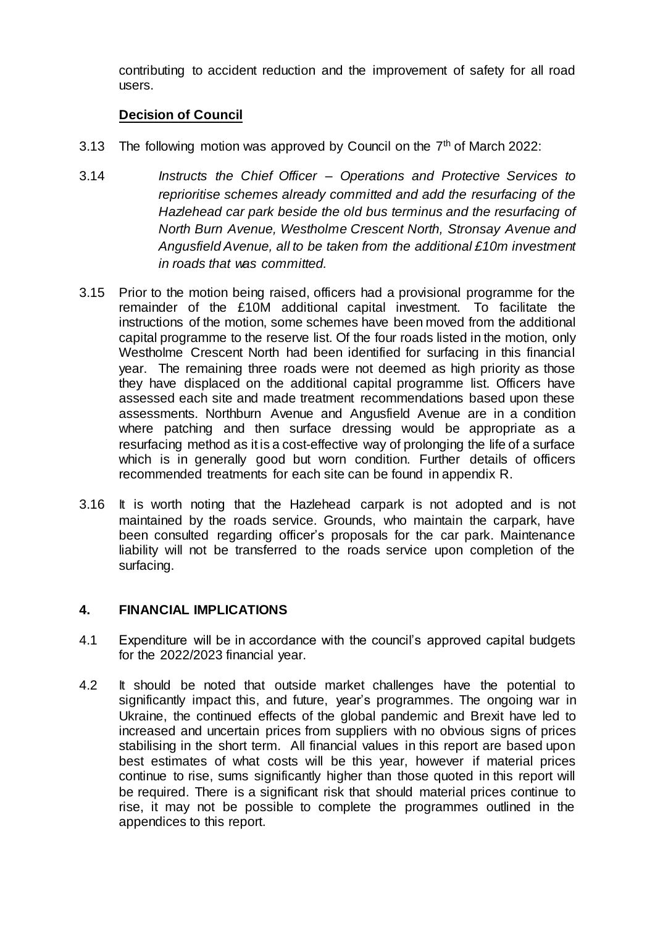contributing to accident reduction and the improvement of safety for all road users.

### **Decision of Council**

- 3.13 The following motion was approved by Council on the  $7<sup>th</sup>$  of March 2022:
- 3.14 *Instructs the Chief Officer – Operations and Protective Services to reprioritise schemes already committed and add the resurfacing of the Hazlehead car park beside the old bus terminus and the resurfacing of North Burn Avenue, Westholme Crescent North, Stronsay Avenue and Angusfield Avenue, all to be taken from the additional £10m investment in roads that was committed.*
- 3.15 Prior to the motion being raised, officers had a provisional programme for the remainder of the £10M additional capital investment. To facilitate the instructions of the motion, some schemes have been moved from the additional capital programme to the reserve list. Of the four roads listed in the motion, only Westholme Crescent North had been identified for surfacing in this financial year. The remaining three roads were not deemed as high priority as those they have displaced on the additional capital programme list. Officers have assessed each site and made treatment recommendations based upon these assessments. Northburn Avenue and Angusfield Avenue are in a condition where patching and then surface dressing would be appropriate as a resurfacing method as it is a cost-effective way of prolonging the life of a surface which is in generally good but worn condition. Further details of officers recommended treatments for each site can be found in appendix R.
- 3.16 It is worth noting that the Hazlehead carpark is not adopted and is not maintained by the roads service. Grounds, who maintain the carpark, have been consulted regarding officer's proposals for the car park. Maintenance liability will not be transferred to the roads service upon completion of the surfacing.

#### **4. FINANCIAL IMPLICATIONS**

- 4.1 Expenditure will be in accordance with the council's approved capital budgets for the 2022/2023 financial year.
- 4.2 It should be noted that outside market challenges have the potential to significantly impact this, and future, year's programmes. The ongoing war in Ukraine, the continued effects of the global pandemic and Brexit have led to increased and uncertain prices from suppliers with no obvious signs of prices stabilising in the short term. All financial values in this report are based upon best estimates of what costs will be this year, however if material prices continue to rise, sums significantly higher than those quoted in this report will be required. There is a significant risk that should material prices continue to rise, it may not be possible to complete the programmes outlined in the appendices to this report.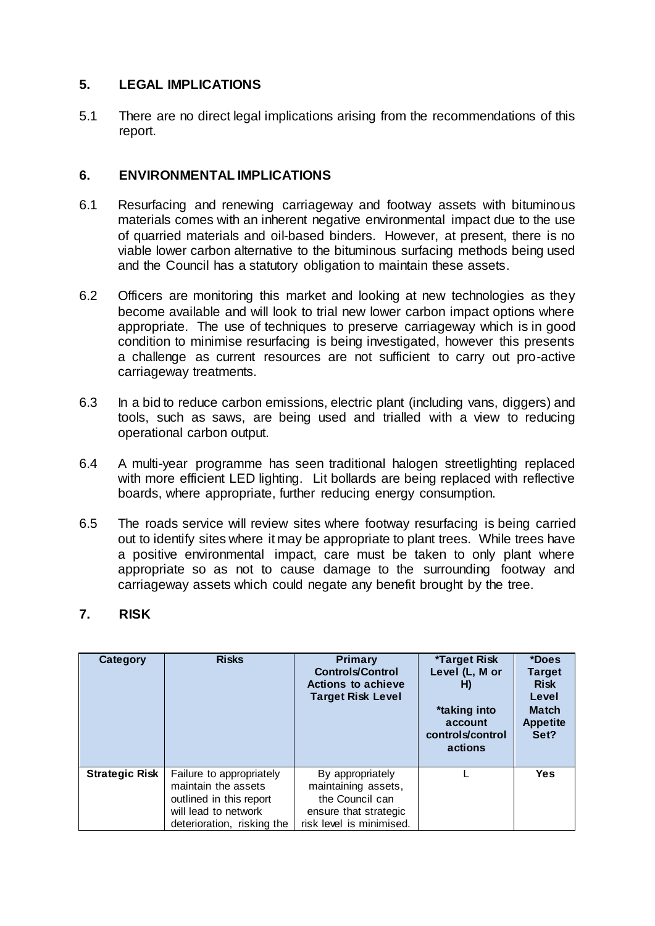## **5. LEGAL IMPLICATIONS**

5.1 There are no direct legal implications arising from the recommendations of this report.

### **6. ENVIRONMENTAL IMPLICATIONS**

- 6.1 Resurfacing and renewing carriageway and footway assets with bituminous materials comes with an inherent negative environmental impact due to the use of quarried materials and oil-based binders. However, at present, there is no viable lower carbon alternative to the bituminous surfacing methods being used and the Council has a statutory obligation to maintain these assets.
- 6.2 Officers are monitoring this market and looking at new technologies as they become available and will look to trial new lower carbon impact options where appropriate. The use of techniques to preserve carriageway which is in good condition to minimise resurfacing is being investigated, however this presents a challenge as current resources are not sufficient to carry out pro-active carriageway treatments.
- 6.3 In a bid to reduce carbon emissions, electric plant (including vans, diggers) and tools, such as saws, are being used and trialled with a view to reducing operational carbon output.
- 6.4 A multi-year programme has seen traditional halogen streetlighting replaced with more efficient LED lighting. Lit bollards are being replaced with reflective boards, where appropriate, further reducing energy consumption.
- 6.5 The roads service will review sites where footway resurfacing is being carried out to identify sites where it may be appropriate to plant trees. While trees have a positive environmental impact, care must be taken to only plant where appropriate so as not to cause damage to the surrounding footway and carriageway assets which could negate any benefit brought by the tree.

## **7. RISK**

| Category              | <b>Risks</b>                                                                                                                     | <b>Primary</b><br><b>Controls/Control</b><br><b>Actions to achieve</b><br><b>Target Risk Level</b>              | *Target Risk<br>Level (L, M or<br>H)<br>*taking into<br>account<br>controls/control<br>actions | *Does<br><b>Target</b><br><b>Risk</b><br>Level<br><b>Match</b><br><b>Appetite</b><br>Set? |
|-----------------------|----------------------------------------------------------------------------------------------------------------------------------|-----------------------------------------------------------------------------------------------------------------|------------------------------------------------------------------------------------------------|-------------------------------------------------------------------------------------------|
| <b>Strategic Risk</b> | Failure to appropriately<br>maintain the assets<br>outlined in this report<br>will lead to network<br>deterioration, risking the | By appropriately<br>maintaining assets,<br>the Council can<br>ensure that strategic<br>risk level is minimised. |                                                                                                | Yes                                                                                       |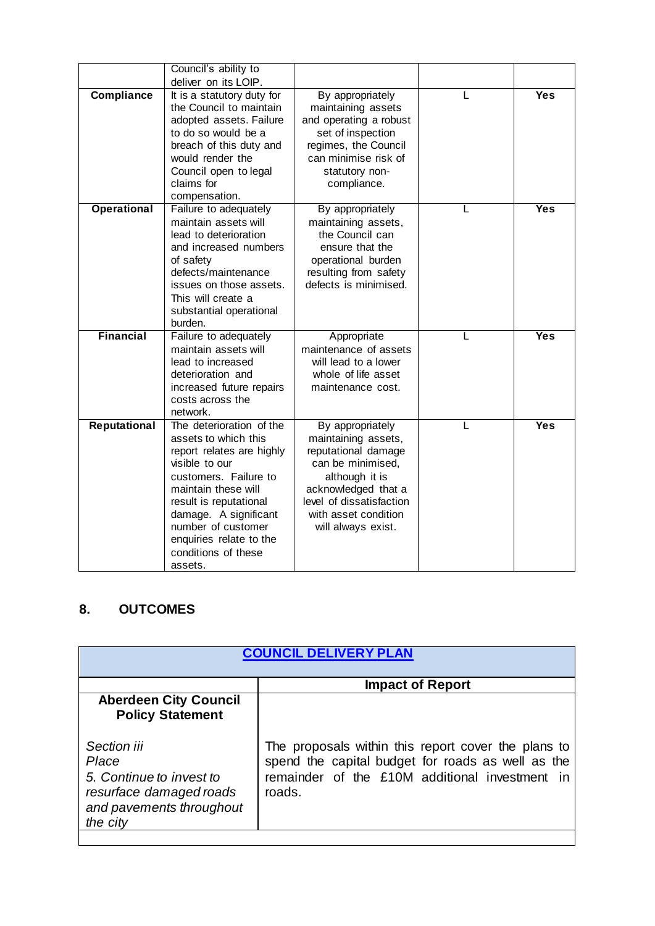|                    | Council's ability to                                                                                                                                                                                                                                                                  |                                                                                                                                                                                                        |            |
|--------------------|---------------------------------------------------------------------------------------------------------------------------------------------------------------------------------------------------------------------------------------------------------------------------------------|--------------------------------------------------------------------------------------------------------------------------------------------------------------------------------------------------------|------------|
| Compliance         | deliver on its LOIP.<br>It is a statutory duty for<br>the Council to maintain<br>adopted assets. Failure<br>to do so would be a<br>breach of this duty and<br>would render the<br>Council open to legal<br>claims for<br>compensation.                                                | By appropriately<br>maintaining assets<br>and operating a robust<br>set of inspection<br>regimes, the Council<br>can minimise risk of<br>statutory non-<br>compliance.                                 | <b>Yes</b> |
| <b>Operational</b> | Failure to adequately<br>maintain assets will<br>lead to deterioration<br>and increased numbers<br>of safety<br>defects/maintenance<br>issues on those assets.<br>This will create a<br>substantial operational<br>burden.                                                            | By appropriately<br>maintaining assets,<br>the Council can<br>ensure that the<br>operational burden<br>resulting from safety<br>defects is minimised.                                                  | <b>Yes</b> |
| <b>Financial</b>   | Failure to adequately<br>maintain assets will<br>lead to increased<br>deterioration and<br>increased future repairs<br>costs across the<br>network.                                                                                                                                   | Appropriate<br>maintenance of assets<br>will lead to a lower<br>whole of life asset<br>maintenance cost.                                                                                               | <b>Yes</b> |
| Reputational       | The deterioration of the<br>assets to which this<br>report relates are highly<br>visible to our<br>customers. Failure to<br>maintain these will<br>result is reputational<br>damage. A significant<br>number of customer<br>enquiries relate to the<br>conditions of these<br>assets. | By appropriately<br>maintaining assets,<br>reputational damage<br>can be minimised,<br>although it is<br>acknowledged that a<br>level of dissatisfaction<br>with asset condition<br>will always exist. | <b>Yes</b> |

# **8. OUTCOMES**

| <b>COUNCIL DELIVERY PLAN</b>                                                                                        |                                                                                                                                                                         |
|---------------------------------------------------------------------------------------------------------------------|-------------------------------------------------------------------------------------------------------------------------------------------------------------------------|
|                                                                                                                     | <b>Impact of Report</b>                                                                                                                                                 |
| <b>Aberdeen City Council</b><br><b>Policy Statement</b>                                                             |                                                                                                                                                                         |
| Section iii<br>Place<br>5. Continue to invest to<br>resurface damaged roads<br>and pavements throughout<br>the city | The proposals within this report cover the plans to<br>spend the capital budget for roads as well as the<br>remainder of the £10M additional investment<br>in<br>roads. |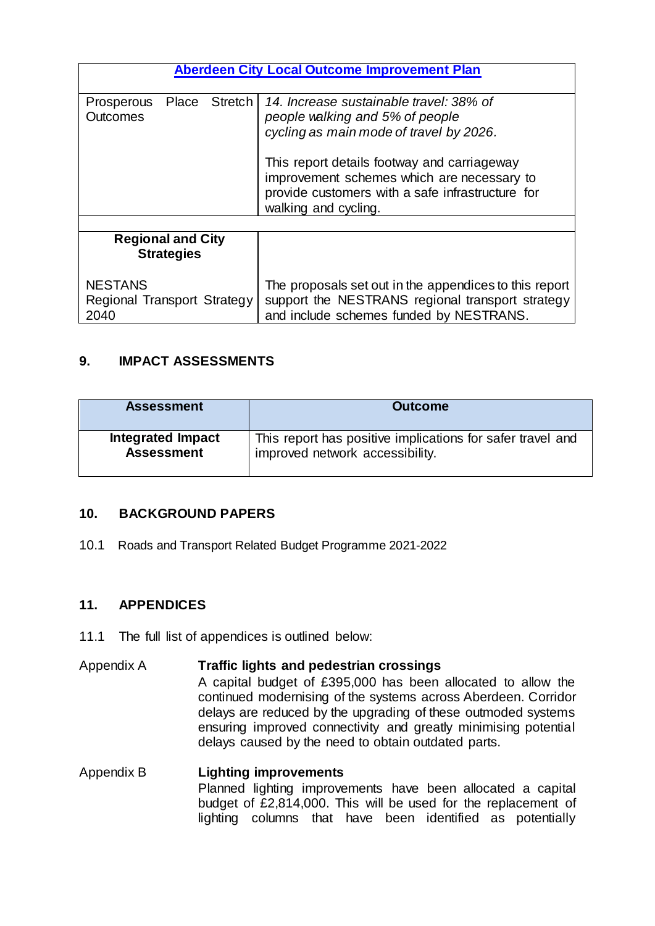| <b>Aberdeen City Local Outcome Improvement Plan</b>   |                                                                                                                                                                       |  |
|-------------------------------------------------------|-----------------------------------------------------------------------------------------------------------------------------------------------------------------------|--|
| Stretch<br>Place<br>Prosperous<br>Outcomes            | 14. Increase sustainable travel: 38% of<br>people walking and 5% of people<br>cycling as main mode of travel by 2026.                                                 |  |
|                                                       | This report details footway and carriageway<br>improvement schemes which are necessary to<br>provide customers with a safe infrastructure for<br>walking and cycling. |  |
|                                                       |                                                                                                                                                                       |  |
| <b>Regional and City</b><br><b>Strategies</b>         |                                                                                                                                                                       |  |
| <b>NESTANS</b><br>Regional Transport Strategy<br>2040 | The proposals set out in the appendices to this report<br>support the NESTRANS regional transport strategy<br>and include schemes funded by NESTRANS.                 |  |

## **9. IMPACT ASSESSMENTS**

| <b>Assessment</b>        | <b>Outcome</b>                                             |
|--------------------------|------------------------------------------------------------|
| <b>Integrated Impact</b> | This report has positive implications for safer travel and |
| <b>Assessment</b>        | improved network accessibility.                            |

#### **10. BACKGROUND PAPERS**

10.1 Roads and Transport Related Budget Programme 2021-2022

#### **11. APPENDICES**

11.1 The full list of appendices is outlined below:

## Appendix A **Traffic lights and pedestrian crossings** A capital budget of £395,000 has been allocated to allow the continued modernising of the systems across Aberdeen. Corridor delays are reduced by the upgrading of these outmoded systems ensuring improved connectivity and greatly minimising potential delays caused by the need to obtain outdated parts.

Appendix B **Lighting improvements** Planned lighting improvements have been allocated a capital budget of £2,814,000. This will be used for the replacement of lighting columns that have been identified as potentially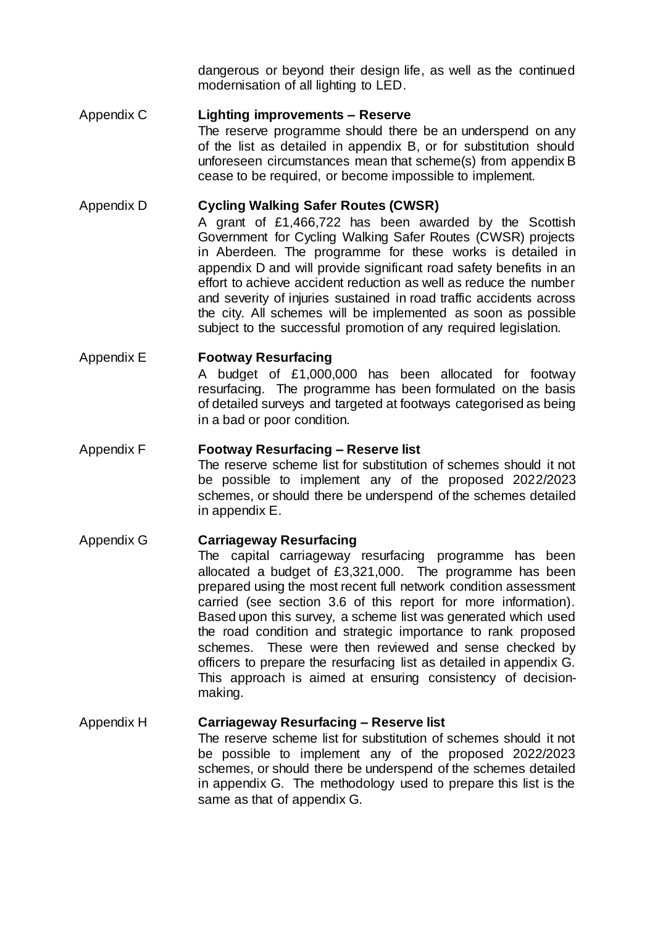dangerous or beyond their design life, as well as the continued modernisation of all lighting to LED.

Appendix C **Lighting improvements – Reserve** 

The reserve programme should there be an underspend on any of the list as detailed in appendix B, or for substitution should unforeseen circumstances mean that scheme(s) from appendix B cease to be required, or become impossible to implement.

### Appendix D **Cycling Walking Safer Routes (CWSR)**

A grant of £1,466,722 has been awarded by the Scottish Government for Cycling Walking Safer Routes (CWSR) projects in Aberdeen. The programme for these works is detailed in appendix D and will provide significant road safety benefits in an effort to achieve accident reduction as well as reduce the number and severity of injuries sustained in road traffic accidents across the city. All schemes will be implemented as soon as possible subject to the successful promotion of any required legislation.

## Appendix E **Footway Resurfacing**

A budget of £1,000,000 has been allocated for footway resurfacing. The programme has been formulated on the basis of detailed surveys and targeted at footways categorised as being in a bad or poor condition.

#### Appendix F **Footway Resurfacing – Reserve list**

The reserve scheme list for substitution of schemes should it not be possible to implement any of the proposed 2022/2023 schemes, or should there be underspend of the schemes detailed in appendix E.

#### Appendix G **Carriageway Resurfacing**

The capital carriageway resurfacing programme has been allocated a budget of £3,321,000. The programme has been prepared using the most recent full network condition assessment carried (see section 3.6 of this report for more information). Based upon this survey, a scheme list was generated which used the road condition and strategic importance to rank proposed schemes. These were then reviewed and sense checked by officers to prepare the resurfacing list as detailed in appendix G. This approach is aimed at ensuring consistency of decisionmaking.

# Appendix H **Carriageway Resurfacing – Reserve list**

The reserve scheme list for substitution of schemes should it not be possible to implement any of the proposed 2022/2023 schemes, or should there be underspend of the schemes detailed in appendix G. The methodology used to prepare this list is the same as that of appendix G.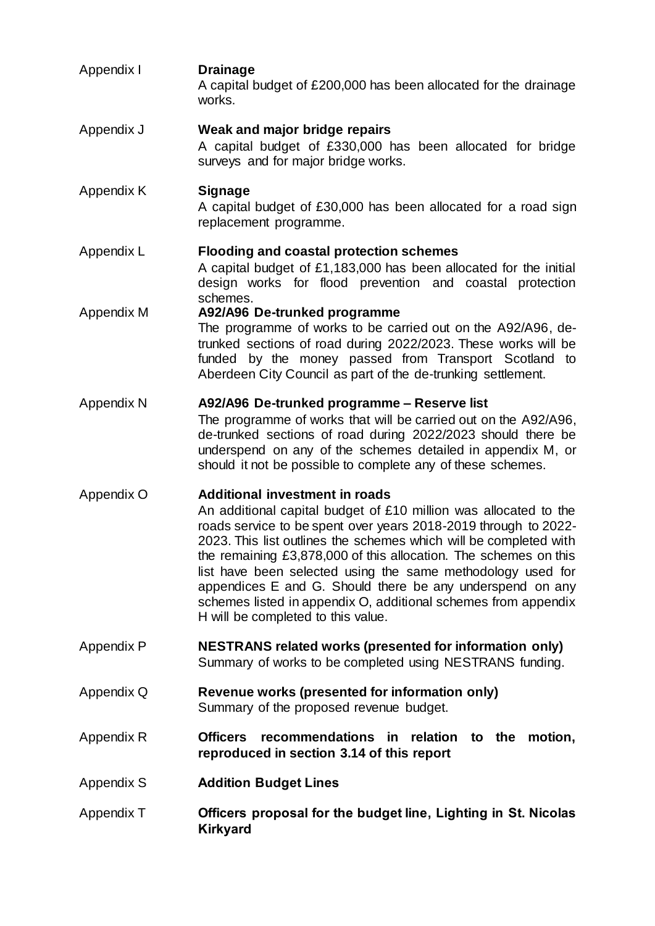Appendix I **Drainage** A capital budget of £200,000 has been allocated for the drainage works. Appendix J **Weak and major bridge repairs** A capital budget of £330,000 has been allocated for bridge surveys and for major bridge works. Appendix K **Signage** A capital budget of £30,000 has been allocated for a road sign replacement programme. Appendix L **Flooding and coastal protection schemes** A capital budget of £1,183,000 has been allocated for the initial design works for flood prevention and coastal protection schemes. Appendix M **A92/A96 De-trunked programme** The programme of works to be carried out on the A92/A96, detrunked sections of road during 2022/2023. These works will be funded by the money passed from Transport Scotland to Aberdeen City Council as part of the de-trunking settlement. Appendix N **A92/A96 De-trunked programme – Reserve list** The programme of works that will be carried out on the A92/A96, de-trunked sections of road during 2022/2023 should there be underspend on any of the schemes detailed in appendix M, or should it not be possible to complete any of these schemes. Appendix O **Additional investment in roads** An additional capital budget of £10 million was allocated to the roads service to be spent over years 2018-2019 through to 2022- 2023. This list outlines the schemes which will be completed with the remaining £3,878,000 of this allocation. The schemes on this list have been selected using the same methodology used for appendices E and G. Should there be any underspend on any schemes listed in appendix O, additional schemes from appendix H will be completed to this value. Appendix P **NESTRANS related works (presented for information only)** Summary of works to be completed using NESTRANS funding. Appendix Q **Revenue works (presented for information only)** Summary of the proposed revenue budget. Appendix R **Officers recommendations in relation to the motion, reproduced in section 3.14 of this report** Appendix S **Addition Budget Lines** Appendix T **Officers proposal for the budget line, Lighting in St. Nicolas Kirkyard**